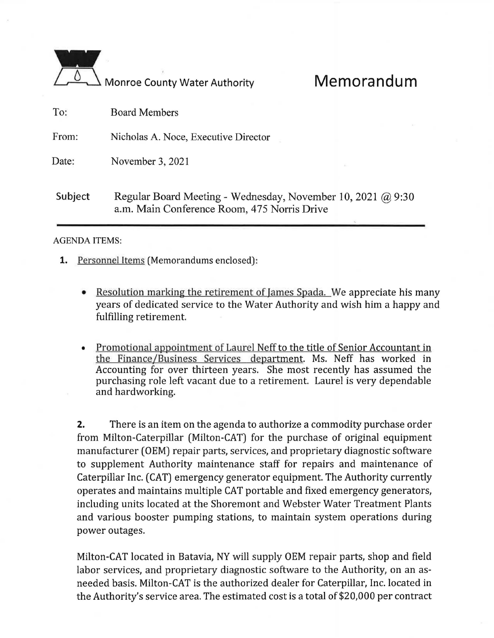|         | <b>Monroe County Water Authority</b>                                                                       | Memorandum |
|---------|------------------------------------------------------------------------------------------------------------|------------|
| To:     | <b>Board Members</b>                                                                                       |            |
| From:   | Nicholas A. Noce, Executive Director                                                                       |            |
| Date:   | November 3, 2021                                                                                           |            |
| Subject | Regular Board Meeting - Wednesday, November 10, 2021 @ 9:30<br>a.m. Main Conference Room, 475 Norris Drive |            |

## **AGENDA ITEMS:**

- **1.** Personnel Items (Memorandums enclosed):
	- Resolution marking the retirement of Iames Spada. We appreciate his many years of dedicated service to the Water Authority and wish him a happy and fulfilling retirement.
	- Promotional appointment of Laurel Neff to the title of Senior Accountant in the Finance/Business Services department. Ms. Neff has worked in Accounting for over thirteen years. She most recently has assumed the purchasing role left vacant due to a retirement. Laurel is very dependable and hardworking.

**2.** There is an item on the agenda to authorize a commodity purchase order from Milton-Caterpillar (Milton-CAT) for the purchase of original equipment manufacturer (OEM) repair parts, services, and proprietary diagnostic software to supplement Authority maintenance staff for repairs and maintenance of Caterpillar Inc. (CAT) emergency generator equipment. The Authority currently operates and maintains multiple CAT portable and fixed emergency generators, including units located at the Shoremont and Webster Water Treatment Plants and various booster pumping stations, to maintain system operations during power outages.

Milton-CAT located in Batavia, NY will supply OEM repair parts, shop and field labor services, and proprietary diagnostic software to the Authority, on an asneeded basis. Milton-CAT is the authorized dealer for Caterpillar, Inc. located in the Authority's service area. The estimated cost is a total of \$20,000 per contract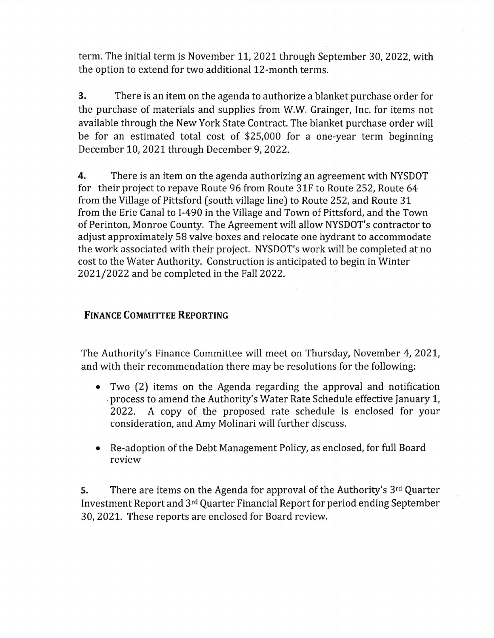term. The initial term is November 11, 2021 through September 30, 2022, with the option to extend for two additional 12-month terms.

**3.** There is an item on the agenda to authorize a blanket purchase order for the purchase of materials and supplies from W.W. Grainger, Inc. for items not available through the New York State Contract. The blanket purchase order will be for an estimated total cost of \$25,000 for a one-year term beginning December 10, 2021 through December 9, 2022.

**4.** There is an item on the agenda authorizing an agreement with NYSDOT for their project to repave Route 96 from Route 31F to Route 252, Route 64 from the Village of Pittsford (south village line) to Route 252, and Route 31 from the Erie Canal to 1-490 in the Village and Town of Pittsford, and the Town of Perinton, Monroe County. The Agreement will allow NYSDOT's contractor to adjust approximately 58 valve boxes and relocate one hydrant to accommodate the work associated with their project. NYSDOT's work will be completed at no cost to the Water Authority. Construction is anticipated to begin in Winter 2021/2022 and be completed in the Fall 2022.

## **FINANCE COMMITTEE REPORTING**

The Authority's Finance Committee will meet on Thursday, November 4, 2021, and with their recommendation there may be resolutions for the following:

- Two (2) items on the Agenda regarding the approval and notification . process to amend the Authority's Water Rate Schedule effective January 1, 2022. A copy of the proposed rate schedule is enclosed for your consideration, and Amy Molinari will further discuss.
- Re-adoption of the Debt Management Policy, as enclosed, for full Board review

**s.** There are items on the Agenda for approval of the Authority's 3rd Quarter Investment Report and 3rd Quarter Financial Report for period ending September 30, 2021. These reports are enclosed for Board review.